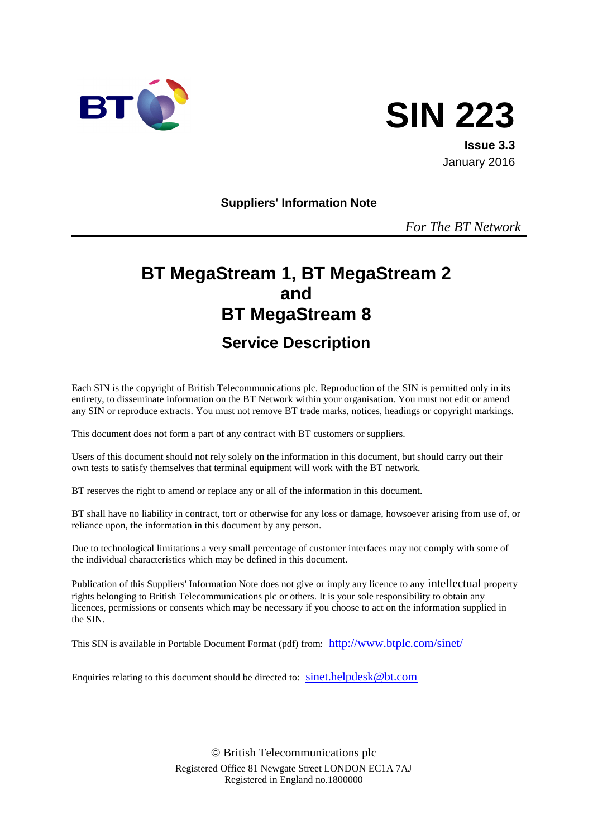



**Issue 3.3** January 2016

**Suppliers' Information Note**

*For The BT Network*

# **BT MegaStream 1, BT MegaStream 2 and BT MegaStream 8 Service Description**

Each SIN is the copyright of British Telecommunications plc. Reproduction of the SIN is permitted only in its entirety, to disseminate information on the BT Network within your organisation. You must not edit or amend any SIN or reproduce extracts. You must not remove BT trade marks, notices, headings or copyright markings.

This document does not form a part of any contract with BT customers or suppliers.

Users of this document should not rely solely on the information in this document, but should carry out their own tests to satisfy themselves that terminal equipment will work with the BT network.

BT reserves the right to amend or replace any or all of the information in this document.

BT shall have no liability in contract, tort or otherwise for any loss or damage, howsoever arising from use of, or reliance upon, the information in this document by any person.

Due to technological limitations a very small percentage of customer interfaces may not comply with some of the individual characteristics which may be defined in this document.

Publication of this Suppliers' Information Note does not give or imply any licence to any intellectual property rights belonging to British Telecommunications plc or others. It is your sole responsibility to obtain any licences, permissions or consents which may be necessary if you choose to act on the information supplied in the SIN.

This SIN is available in Portable Document Format (pdf) from: <http://www.btplc.com/sinet/>

Enquiries relating to this document should be directed to: [sinet.helpdesk@bt.com](mailto:sinet.helpdesk@bt.com)

 British Telecommunications plc Registered Office 81 Newgate Street LONDON EC1A 7AJ Registered in England no.1800000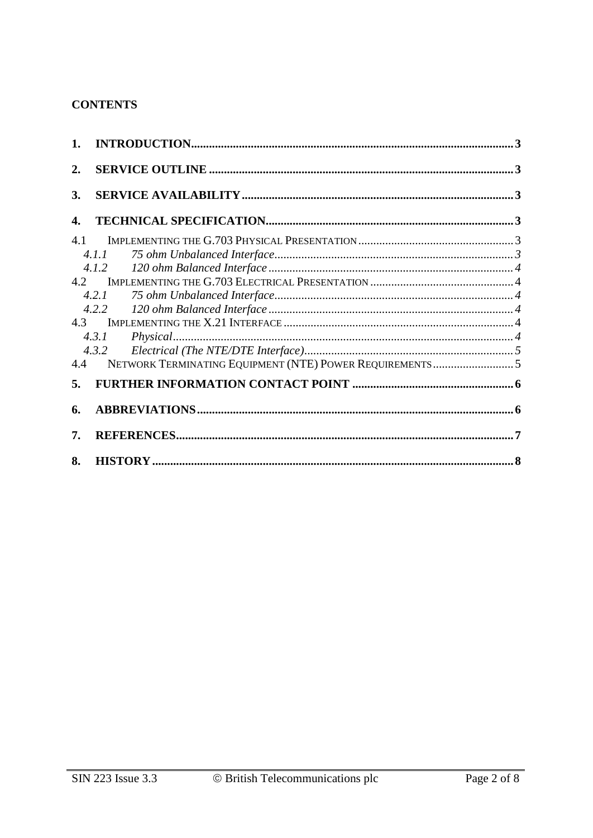## **CONTENTS**

| 2.  |       |  |  |
|-----|-------|--|--|
| 3.  |       |  |  |
| 4.  |       |  |  |
| 4.1 |       |  |  |
|     | 4.1.1 |  |  |
|     | 4.1.2 |  |  |
| 4.2 |       |  |  |
|     | 4.2.1 |  |  |
|     | 4.2.2 |  |  |
| 4.3 |       |  |  |
|     | 4.3.1 |  |  |
|     | 4.3.2 |  |  |
| 4.4 |       |  |  |
| 5.  |       |  |  |
| 6.  |       |  |  |
| 7.  |       |  |  |
| 8.  |       |  |  |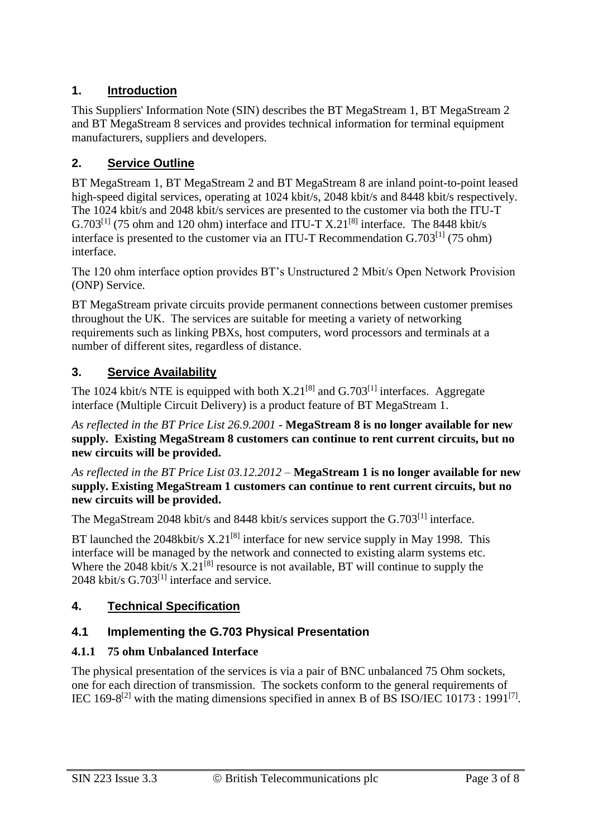# **1. Introduction**

This Suppliers' Information Note (SIN) describes the BT MegaStream 1, BT MegaStream 2 and BT MegaStream 8 services and provides technical information for terminal equipment manufacturers, suppliers and developers.

# **2. Service Outline**

BT MegaStream 1, BT MegaStream 2 and BT MegaStream 8 are inland point-to-point leased high-speed digital services, operating at 1024 kbit/s, 2048 kbit/s and 8448 kbit/s respectively. The 1024 kbit/s and 2048 kbit/s services are presented to the customer via both the ITU-T G.703<sup>[1]</sup> (75 ohm and 120 ohm) interface and ITU-T X.21<sup>[8]</sup> interface. The 8448 kbit/s interface is presented to the customer via an ITU-T Recommendation  $G.703^{[1]}$  (75 ohm) interface.

The 120 ohm interface option provides BT's Unstructured 2 Mbit/s Open Network Provision (ONP) Service.

BT MegaStream private circuits provide permanent connections between customer premises throughout the UK. The services are suitable for meeting a variety of networking requirements such as linking PBXs, host computers, word processors and terminals at a number of different sites, regardless of distance.

# **3. Service Availability**

The 1024 kbit/s NTE is equipped with both  $X.21^{[8]}$  and  $G.703^{[1]}$  interfaces. Aggregate interface (Multiple Circuit Delivery) is a product feature of BT MegaStream 1.

*As reflected in the BT Price List 26.9.2001* - **MegaStream 8 is no longer available for new supply. Existing MegaStream 8 customers can continue to rent current circuits, but no new circuits will be provided.**

*As reflected in the BT Price List 03.12.2012* – **MegaStream 1 is no longer available for new supply. Existing MegaStream 1 customers can continue to rent current circuits, but no new circuits will be provided.**

The MegaStream 2048 kbit/s and 8448 kbit/s services support the G.703<sup>[1]</sup> interface.

BT launched the 2048kbit/s  $X.21^{[8]}$  interface for new service supply in May 1998. This interface will be managed by the network and connected to existing alarm systems etc. Where the 2048 kbit/s  $X.21^{[8]}$  resource is not available. BT will continue to supply the 2048 kbit/s  $G.703^{[1]}$  interface and service.

## **4. Technical Specification**

## **4.1 Implementing the G.703 Physical Presentation**

## **4.1.1 75 ohm Unbalanced Interface**

The physical presentation of the services is via a pair of BNC unbalanced 75 Ohm sockets, one for each direction of transmission. The sockets conform to the general requirements of IEC 169-8<sup>[2]</sup> with the mating dimensions specified in annex B of BS ISO/IEC 10173 : 1991<sup>[7]</sup>.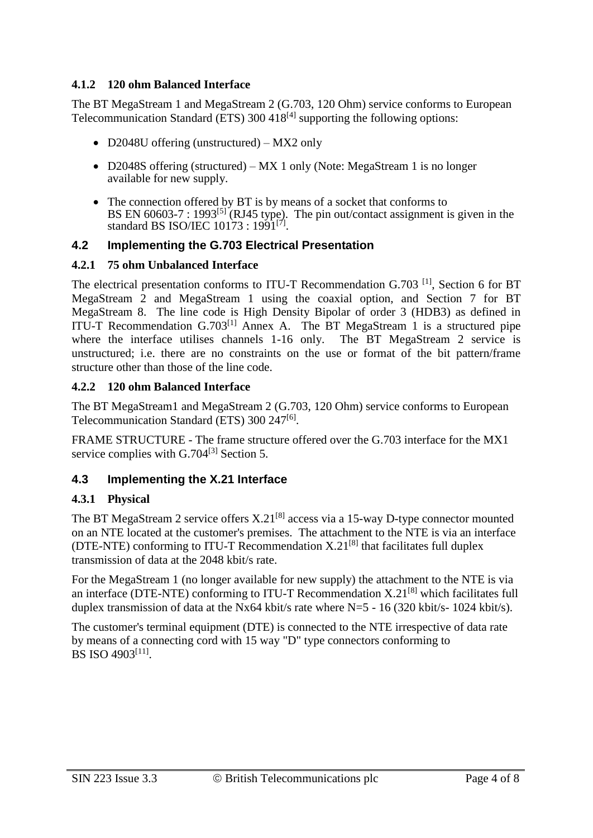#### **4.1.2 120 ohm Balanced Interface**

The BT MegaStream 1 and MegaStream 2 (G.703, 120 Ohm) service conforms to European Telecommunication Standard (ETS)  $300 \frac{418^{[4]}}{^{41}}$  supporting the following options:

- D2048U offering (unstructured) MX2 only
- D2048S offering (structured) MX 1 only (Note: MegaStream 1 is no longer available for new supply.
- The connection offered by BT is by means of a socket that conforms to BS EN  $60603-7$ : 1993<sup>[5]</sup> (RJ45 type). The pin out/contact assignment is given in the standard BS ISO/IEC  $10173 : 1991^{[7]}$ .

#### **4.2 Implementing the G.703 Electrical Presentation**

#### **4.2.1 75 ohm Unbalanced Interface**

The electrical presentation conforms to ITU-T Recommendation G.703<sup>[1]</sup>, Section 6 for BT MegaStream 2 and MegaStream 1 using the coaxial option, and Section 7 for BT MegaStream 8. The line code is High Density Bipolar of order 3 (HDB3) as defined in ITU-T Recommendation  $G.703^{[1]}$  Annex A. The BT MegaStream 1 is a structured pipe where the interface utilises channels 1-16 only. The BT MegaStream 2 service is unstructured; i.e. there are no constraints on the use or format of the bit pattern/frame structure other than those of the line code.

#### **4.2.2 120 ohm Balanced Interface**

The BT MegaStream1 and MegaStream 2 (G.703, 120 Ohm) service conforms to European Telecommunication Standard (ETS) 300 247<sup>[6]</sup>.

FRAME STRUCTURE - The frame structure offered over the G.703 interface for the MX1 service complies with G.704<sup>[3]</sup> Section 5.

#### **4.3 Implementing the X.21 Interface**

#### **4.3.1 Physical**

The BT MegaStream 2 service offers  $X.21^{[8]}$  access via a 15-way D-type connector mounted on an NTE located at the customer's premises. The attachment to the NTE is via an interface (DTE-NTE) conforming to ITU-T Recommendation  $X.21^{[8]}$  that facilitates full duplex transmission of data at the 2048 kbit/s rate.

For the MegaStream 1 (no longer available for new supply) the attachment to the NTE is via an interface (DTE-NTE) conforming to ITU-T Recommendation  $X.21^{[8]}$  which facilitates full duplex transmission of data at the Nx64 kbit/s rate where N=5 - 16 (320 kbit/s- 1024 kbit/s).

The customer's terminal equipment (DTE) is connected to the NTE irrespective of data rate by means of a connecting cord with 15 way "D" type connectors conforming to BS ISO 4903<sup>[11]</sup>.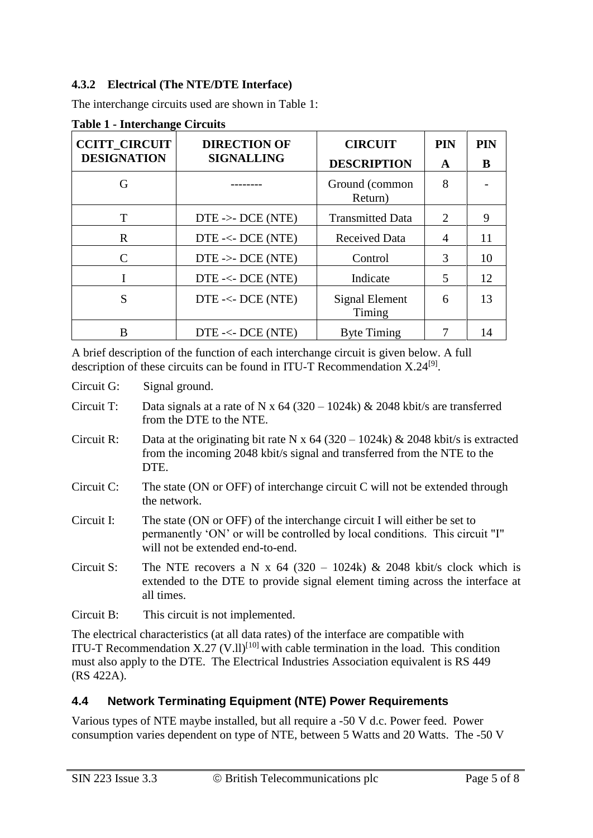### **4.3.2 Electrical (The NTE/DTE Interface)**

The interchange circuits used are shown in Table 1:

| <b>CCITT CIRCUIT</b> | <b>DIRECTION OF</b><br><b>SIGNALLING</b> | <b>CIRCUIT</b>            | <b>PIN</b>                  | PIN |
|----------------------|------------------------------------------|---------------------------|-----------------------------|-----|
| <b>DESIGNATION</b>   |                                          | <b>DESCRIPTION</b>        | A                           | B   |
| G                    |                                          | Ground (common<br>Return) | 8                           |     |
| T                    | $DTE \rightarrow DCE (NTE)$              | <b>Transmitted Data</b>   | $\mathcal{D}_{\mathcal{L}}$ | 9   |
| R                    | $DTE \ll DCE (NTE)$                      | <b>Received Data</b>      | 4                           | 11  |
| $\Gamma$             | $DTE \rightarrow DCE (NTE)$              | Control                   | 3                           | 10  |
|                      | $DTE \ll DCE (NTE)$                      | Indicate                  | 5                           | 12  |
| S                    | DTE -<- DCE (NTE)                        | Signal Element<br>Timing  | 6                           | 13  |
| в                    | $DTE \ll DCE (NTE)$                      | <b>Byte Timing</b>        |                             | 14  |

**Table 1 - Interchange Circuits**

A brief description of the function of each interchange circuit is given below. A full description of these circuits can be found in ITU-T Recommendation X.24<sup>[9]</sup>.

Circuit G: Signal ground.

Circuit T: Data signals at a rate of N x  $64 (320 – 1024k) \& 2048 \text{ kbit/s}$  are transferred from the DTE to the NTE.

- Circuit R: Data at the originating bit rate N x  $64 (320 1024k) \& 2048$  kbit/s is extracted from the incoming 2048 kbit/s signal and transferred from the NTE to the DTE.
- Circuit C: The state (ON or OFF) of interchange circuit C will not be extended through the network.
- Circuit I: The state (ON or OFF) of the interchange circuit I will either be set to permanently 'ON' or will be controlled by local conditions. This circuit "I" will not be extended end-to-end.
- Circuit S: The NTE recovers a N x  $64$  (320 1024k) & 2048 kbit/s clock which is extended to the DTE to provide signal element timing across the interface at all times.
- Circuit B: This circuit is not implemented.

The electrical characteristics (at all data rates) of the interface are compatible with ITU-T Recommendation  $X.27$  (V.ll)<sup>[10]</sup> with cable termination in the load. This condition must also apply to the DTE. The Electrical Industries Association equivalent is RS 449 (RS 422A).

## **4.4 Network Terminating Equipment (NTE) Power Requirements**

Various types of NTE maybe installed, but all require a -50 V d.c. Power feed. Power consumption varies dependent on type of NTE, between 5 Watts and 20 Watts. The -50 V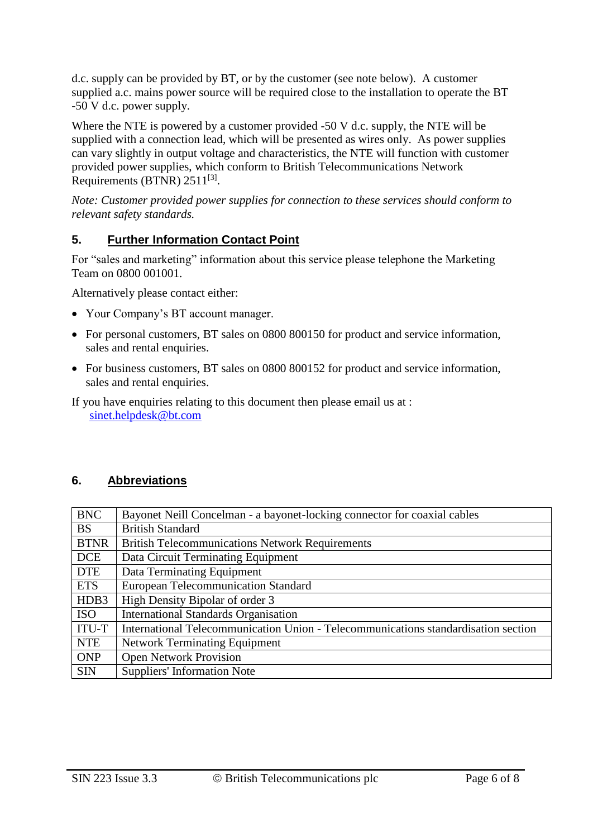d.c. supply can be provided by BT, or by the customer (see note below). A customer supplied a.c. mains power source will be required close to the installation to operate the BT -50 V d.c. power supply.

Where the NTE is powered by a customer provided -50 V d.c. supply, the NTE will be supplied with a connection lead, which will be presented as wires only. As power supplies can vary slightly in output voltage and characteristics, the NTE will function with customer provided power supplies, which conform to British Telecommunications Network Requirements (BTNR)  $2511^{[3]}$ .

*Note: Customer provided power supplies for connection to these services should conform to relevant safety standards.*

# **5. Further Information Contact Point**

For "sales and marketing" information about this service please telephone the Marketing Team on 0800 001001.

Alternatively please contact either:

- Your Company's BT account manager.
- For personal customers, BT sales on 0800 800150 for product and service information, sales and rental enquiries.
- For business customers, BT sales on 0800 800152 for product and service information, sales and rental enquiries.

If you have enquiries relating to this document then please email us at : [sinet.helpdesk@bt.com](mailto:sinet.helpdesk@bt.com)

## **6. Abbreviations**

| <b>BNC</b>  | Bayonet Neill Concelman - a bayonet-locking connector for coaxial cables           |
|-------------|------------------------------------------------------------------------------------|
| <b>BS</b>   | <b>British Standard</b>                                                            |
| <b>BTNR</b> | <b>British Telecommunications Network Requirements</b>                             |
| <b>DCE</b>  | Data Circuit Terminating Equipment                                                 |
| <b>DTE</b>  | Data Terminating Equipment                                                         |
| <b>ETS</b>  | <b>European Telecommunication Standard</b>                                         |
| HDB3        | High Density Bipolar of order 3                                                    |
| <b>ISO</b>  | <b>International Standards Organisation</b>                                        |
| ITU-T       | International Telecommunication Union - Telecommunications standardisation section |
| <b>NTE</b>  | <b>Network Terminating Equipment</b>                                               |
| <b>ONP</b>  | <b>Open Network Provision</b>                                                      |
| <b>SIN</b>  | <b>Suppliers' Information Note</b>                                                 |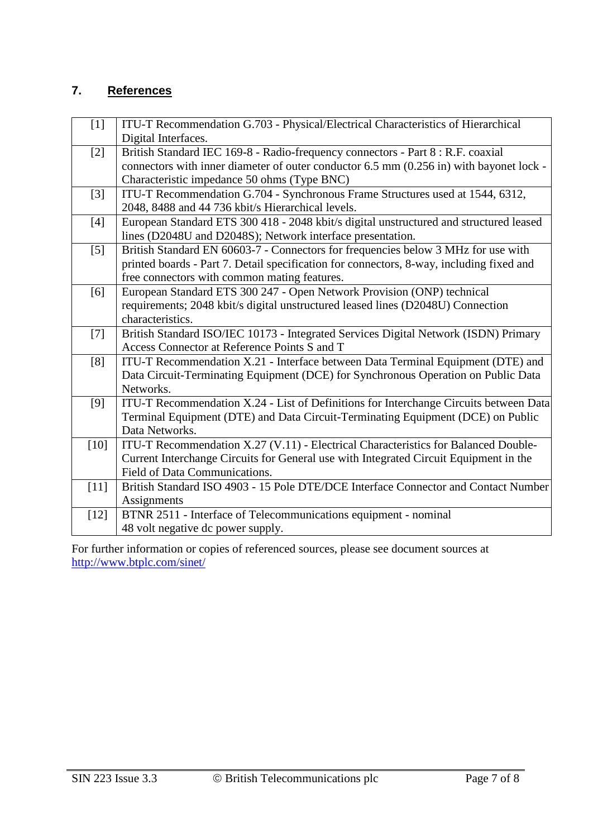## **7. References**

| $[1]$  | ITU-T Recommendation G.703 - Physical/Electrical Characteristics of Hierarchical         |
|--------|------------------------------------------------------------------------------------------|
|        | Digital Interfaces.                                                                      |
| $[2]$  | British Standard IEC 169-8 - Radio-frequency connectors - Part 8 : R.F. coaxial          |
|        | connectors with inner diameter of outer conductor 6.5 mm (0.256 in) with bayonet lock -  |
|        | Characteristic impedance 50 ohms (Type BNC)                                              |
| $[3]$  | ITU-T Recommendation G.704 - Synchronous Frame Structures used at 1544, 6312,            |
|        | 2048, 8488 and 44 736 kbit/s Hierarchical levels.                                        |
| $[4]$  | European Standard ETS 300 418 - 2048 kbit/s digital unstructured and structured leased   |
|        | lines (D2048U and D2048S); Network interface presentation.                               |
| $[5]$  | British Standard EN 60603-7 - Connectors for frequencies below 3 MHz for use with        |
|        | printed boards - Part 7. Detail specification for connectors, 8-way, including fixed and |
|        | free connectors with common mating features.                                             |
| [6]    | European Standard ETS 300 247 - Open Network Provision (ONP) technical                   |
|        | requirements; 2048 kbit/s digital unstructured leased lines (D2048U) Connection          |
|        | characteristics.                                                                         |
| $[7]$  | British Standard ISO/IEC 10173 - Integrated Services Digital Network (ISDN) Primary      |
|        | Access Connector at Reference Points S and T                                             |
| [8]    | ITU-T Recommendation X.21 - Interface between Data Terminal Equipment (DTE) and          |
|        | Data Circuit-Terminating Equipment (DCE) for Synchronous Operation on Public Data        |
|        | Networks.                                                                                |
| [9]    | ITU-T Recommendation X.24 - List of Definitions for Interchange Circuits between Data    |
|        | Terminal Equipment (DTE) and Data Circuit-Terminating Equipment (DCE) on Public          |
|        | Data Networks.                                                                           |
| $[10]$ | ITU-T Recommendation X.27 (V.11) - Electrical Characteristics for Balanced Double-       |
|        | Current Interchange Circuits for General use with Integrated Circuit Equipment in the    |
|        | Field of Data Communications.                                                            |
| $[11]$ | British Standard ISO 4903 - 15 Pole DTE/DCE Interface Connector and Contact Number       |
|        | Assignments                                                                              |
| $[12]$ | BTNR 2511 - Interface of Telecommunications equipment - nominal                          |
|        | 48 volt negative dc power supply.                                                        |

For further information or copies of referenced sources, please see document sources at <http://www.btplc.com/sinet/>